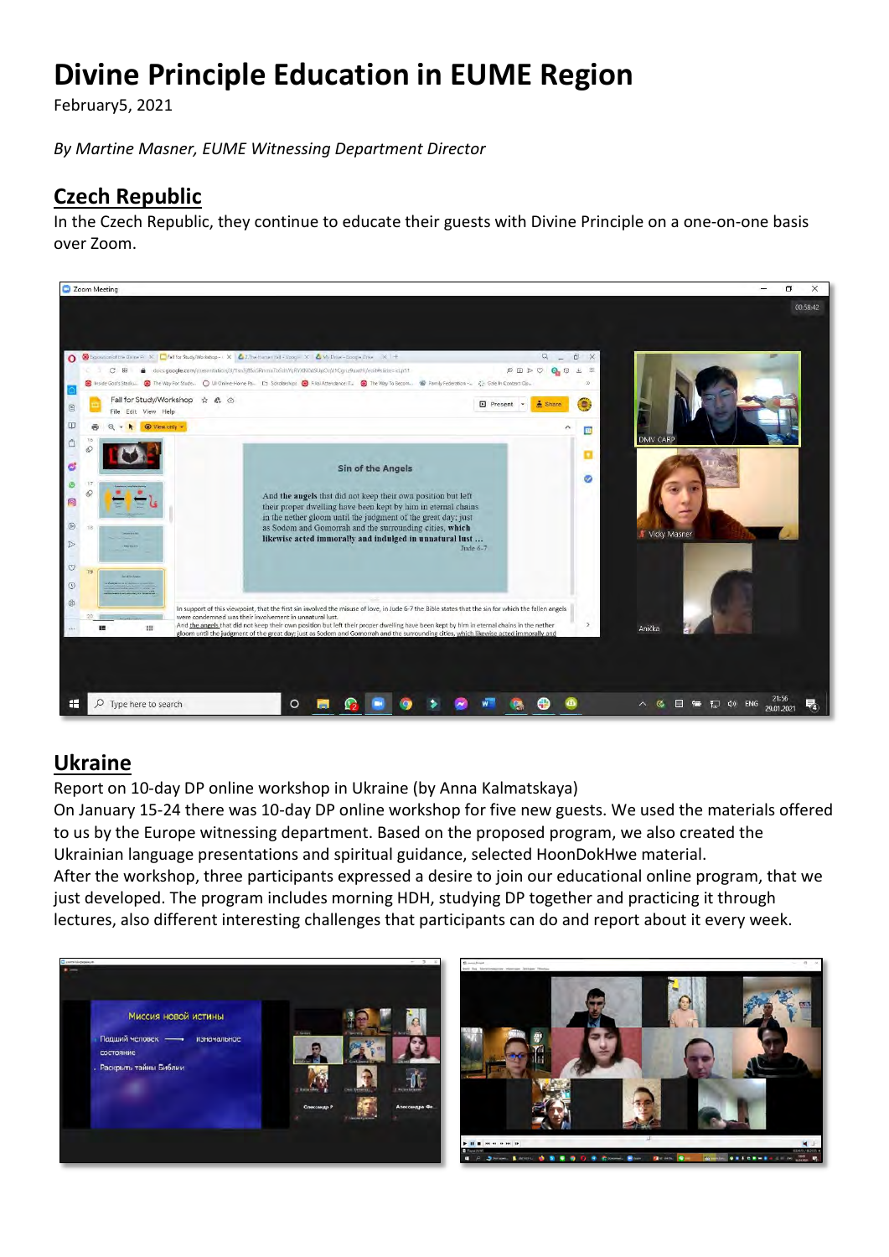# **Divine Principle Education in EUME Region**

February5, 2021

*By Martine Masner, EUME Witnessing Department Director*

# **Czech Republic**

In the Czech Republic, they continue to educate their guests with Divine Principle on a one-on-one basis over Zoom.



## **Ukraine**

Report on 10-day DP online workshop in Ukraine (by Anna Kalmatskaya)

On January 15-24 there was 10-day DP online workshop for five new guests. We used the materials offered to us by the Europe witnessing department. Based on the proposed program, we also created the Ukrainian language presentations and spiritual guidance, selected HoonDokHwe material. After the workshop, three participants expressed a desire to join our educational online program, that we just developed. The program includes morning HDH, studying DP together and practicing it through lectures, also different interesting challenges that participants can do and report about it every week.



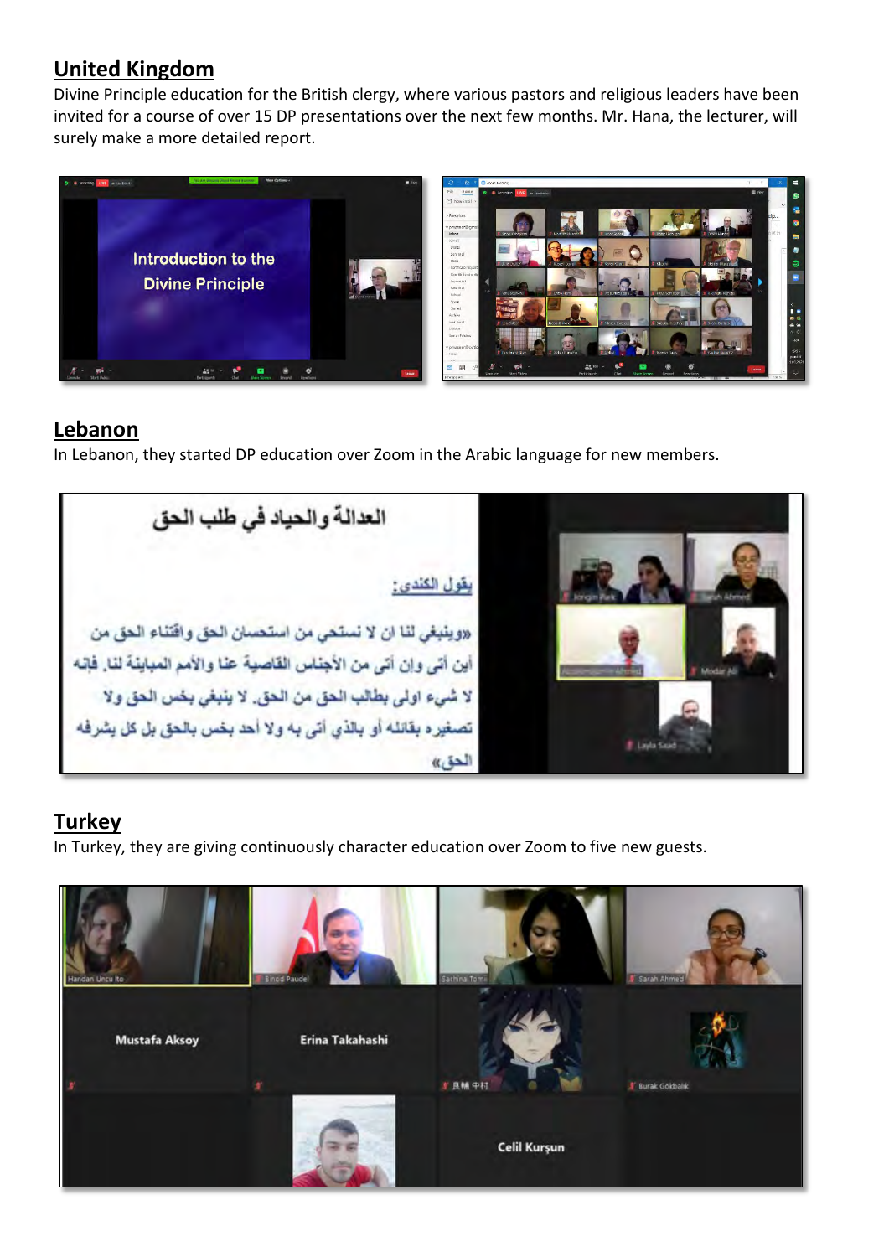## **United Kingdom**

Divine Principle education for the British clergy, where various pastors and religious leaders have been invited for a course of over 15 DP presentations over the next few months. Mr. Hana, the lecturer, will surely make a more detailed report.



#### **Lebanon**

In Lebanon, they started DP education over Zoom in the Arabic language for new members.

العدالة والحياد في طلب الحق يقول الكندي: «وينبغي لنا ان لا نستحي من استحسان الحق واقتناء الحق من أين أتي وإن أتي من الأجناس القاصية عنا والأمم المباينة لنا. فإنه لا شيء اولى بطالب الحق من الحق. لا ينبغي بخس الحق ولا تصغير ه بقائله أو بالذي أتي به ولا أحد بخس بالحق بل كل يشرفه **F. Layla Said** الحق »

# **Turkey**

In Turkey, they are giving continuously character education over Zoom to five new guests.

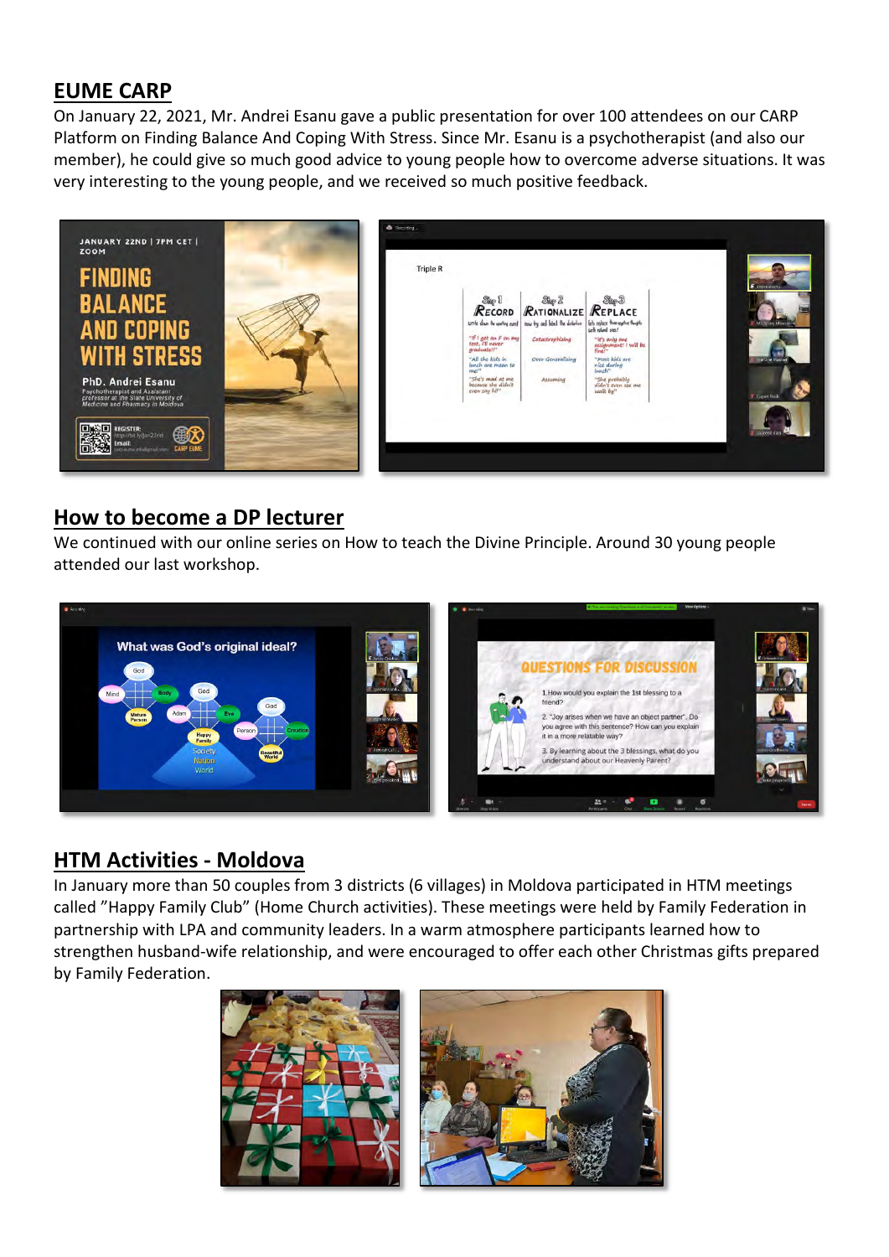## **EUME CARP**

On January 22, 2021, Mr. Andrei Esanu gave a public presentation for over 100 attendees on our CARP Platform on Finding Balance And Coping With Stress. Since Mr. Esanu is a psychotherapist (and also our member), he could give so much good advice to young people how to overcome adverse situations. It was very interesting to the young people, and we received so much positive feedback.



#### **How to become a DP lecturer**

We continued with our online series on How to teach the Divine Principle. Around 30 young people attended our last workshop.



## **HTM Activities - Moldova**

In January more than 50 couples from 3 districts (6 villages) in Moldova participated in HTM meetings called "Happy Family Club" (Home Church activities). These meetings were held by Family Federation in partnership with LPA and community leaders. In a warm atmosphere participants learned how to strengthen husband-wife relationship, and were encouraged to offer each other Christmas gifts prepared by Family Federation.